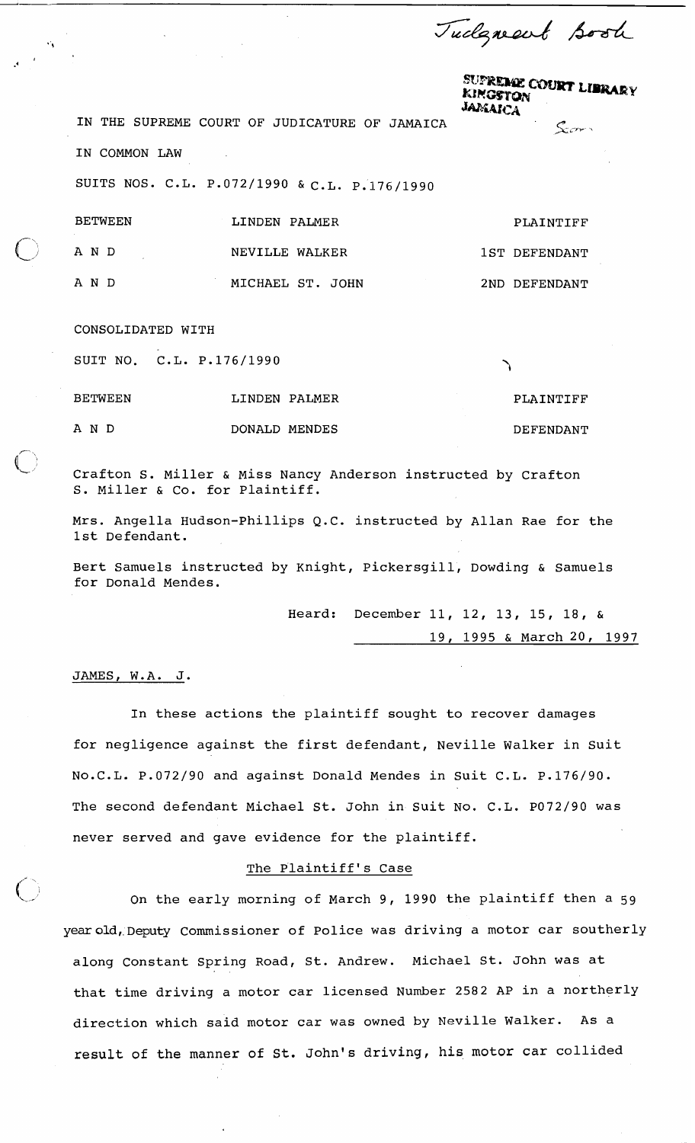Tudgment Book

'i

**SUPREME COURT LIBRARY**<br>KINGGYOV KINGSTON

**,,X' rv** 

**IN THE SUPREME COURT OF JUDICATURE OF JAMAICA** 

IN COMMON LAW

SUITS NOS. C.L. P.072/1990 & C.L. P.176/1990

| <b>BETWEEN</b> | LINDEN PALMER    | PLAINTIFF     |
|----------------|------------------|---------------|
| AND            | NEVILLE WALKER   | 1ST DEFENDANT |
| A N D          | MICHAEL ST. JOHN | 2ND DEFENDANT |

# CONSOLIDATED WITH

SUIT NO. C.L. P.176/1990

BETWEEN LINDEN PALMER PLAINTIFF A N D DONALD MENDES DEFENDANT

Crafton S. Miller & Miss Nancy Anderson instructed by Crafton S. Miller & Co. for Plaintiff.

Mrs. Angella Hudson-Phillips Q.C. instructed by Allan Rae for the 1st Defendant.

Bert Samuels instructed by Knight, Pickersgill, Dowding & Samuels for Donald Mendes.

> Heard: December 11, 12, 13, 15, 18, & 19, 1995 & March 20, 1997

# JAMES, W.A. J.

In these actions the plaintiff sought to recover damages for negligence against the first defendant, Neville Walker in Suit N0.C.L. P.072/90 and against Donald Mendes in Suit C.L. P.176/90. The second defendant Michael St. John in Suit NO. C.L. P072/90 was never served and gave evidence for the plaintiff.

#### The Plaintiff's Case

On the early morning of March 9, 1990 the plaintiff then a 59 yearold, Deputy Commissioner of Police was driving a motor car southerly along Constant Spring Road, St. Andrew. Michael St. John was at that time driving a motor car licensed Number 2582 AP in a northerly direction which said motor car was owned by Neville Walker. AS a result of the manner of St. John's driving, his, motor car collided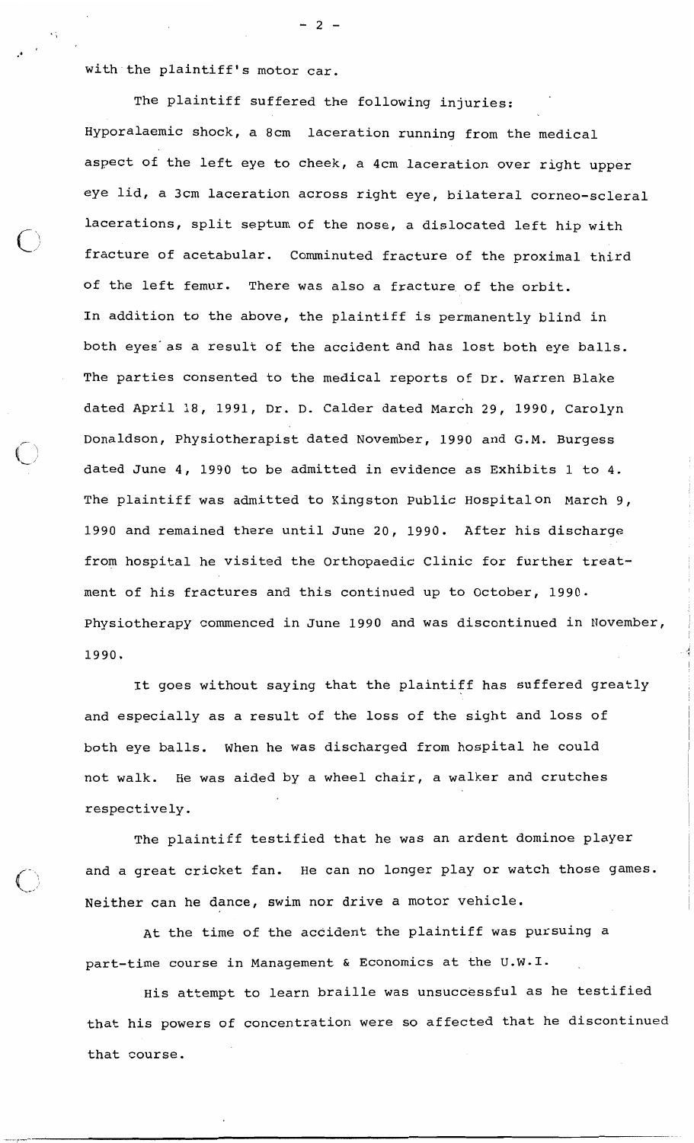with the plaintiff's motor car.

 $-2 -$ 

The plaintiff suffered the following injuries: Hyporalaemic shock, a 8cm laceration running from the medical aspect of the left eye to cheek, a 4cm laceration over right upper eye lid, a 3cm laceration across right eye, bilateral corneo-scleral lacerations, split septum of the nose, a dislocated left hip with fracture of acetabular. Comminuted fracture of the proximal third of the left femur. There was also a fracture of the orbit. In addition to the above, the plaintiff is permanently blind in both eyes as a result of the accident and has lost both eye balls. The parties consented to the medical reports of Dr. Warren Blake dated April 18, 1991, Dr. D. Calder dated March 29, 1990, Carolyn Donaldson, physiotherapist dated November, 1990 and G.M. Burgess dated June  $4$ , 1990 to be admitted in evidence as Exhibits 1 to  $4$ . The plaintiff was admitted to Kingston Public Hospitalon March 9, 1990 and remained there until June 20, 1990. After his discharge from hospital he visited the Orthopaedic clinic for further treatment of his fractures and this continued up to October, 1990. Physiotherapy commenced in June 1990 and was discontinued in November, 1990. **<sup>4</sup>**

It goes without saying that the plaintiff has suffered greatly and especially as a result of the loss of the sight and loss of both eye balls. When he was discharged from hospital he could not walk. He was aided by a wheel chair, a walker and crutches respectively.

The plaintiff testified that he was an ardent dominoe player and a great cricket fan. He can no longer play or watch those games. Neither can he dance, swim nor drive a motor vehicle.

At the time of the accident the plaintiff was pursuing a part-time course in Management & Economics at the U.W.I.

 $\overline{\phantom{a}}$ 

His attempt to learn braille was unsuccessful as he testified that his powers of concentration were so affected that he discontinued that course.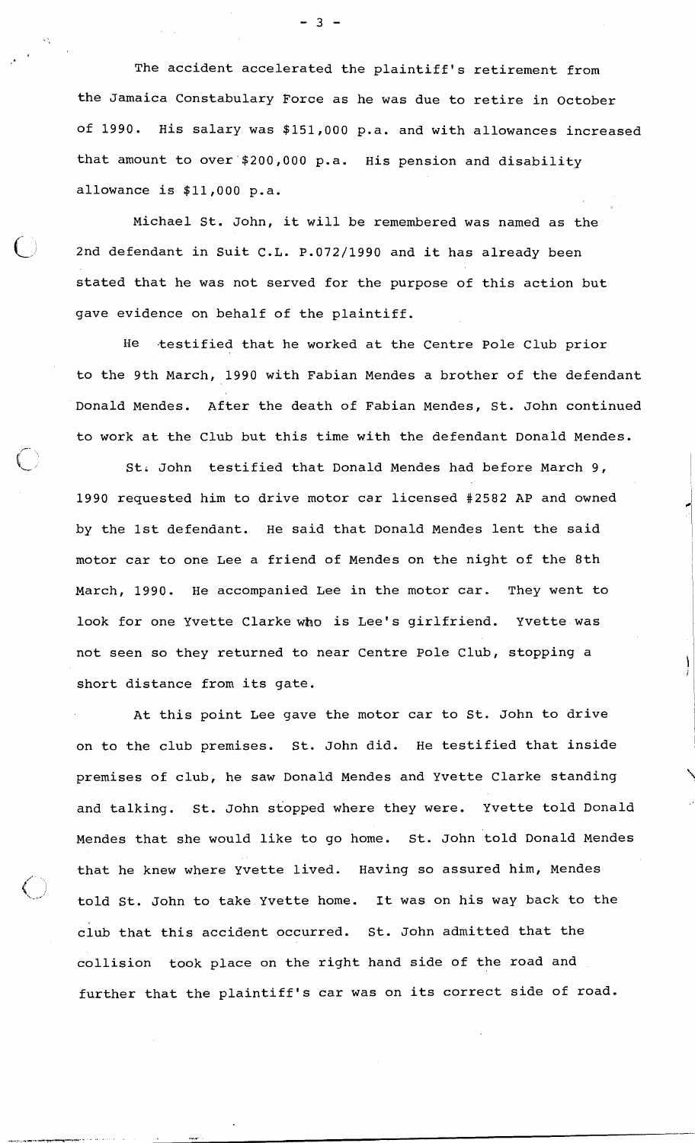The accident accelerated the plaintiff's retirement from the Jamaica Constabulary Force as he was due to retire in October of 1990. His salary was \$151,000 p.a. and with allowances increased that amount to over \$200,000 p.a. His pension and disability allowance is \$11,000 p.a.

Michael St. John, it will be remembered was named as the 2nd defendant in Suit C.L. P.072/1990 and it has already been stated that he was not served for the purpose of this action but gave evidence on behalf of the plaintiff.

He testified that he worked at the Centre Pole Club prior to the 9th March, 1990 with Fabian Mendes a brother of the defendant Donald Mendes. After the death of Fabian Mendes, St. John continued to work at the Club but this time with the defendant Donald Mendes.

 $\overline{\phantom{a}}$ 

St. John testified that Donald Mendes had before March 9, 1990 requested him to drive motor car licensed #2582 AP and owned by the 1st defendant. He said that Donald Mendes lent the said motor car to one Lee a friend of Mendes on the night of the 8th March, 1990. He accompanied Lee in the motor car. They went to look for one Yvette Clarke who is Lee's girlfriend. Yvette was not seen so they returned to near Centre Pole Club, stopping a short distance from its gate.

At this point Lee gave the motor car to St. John to drive on to the club premises. St. John did. He testified that inside premises of club, he saw Donald Mendes and Yvette Clarke standing and talking. St. John stopped where they were. Yvette told Donald Mendes that she would like to go home. St. John told Donald Mendes that he knew where Yvette lived. Having so assured him, Mendes told St. John to take Yvette home. It was on his way back to the club that this accident occurred. St. John admitted that the collision took place on the right hand side of the road and further that the plaintiff's car was on its correct side of road.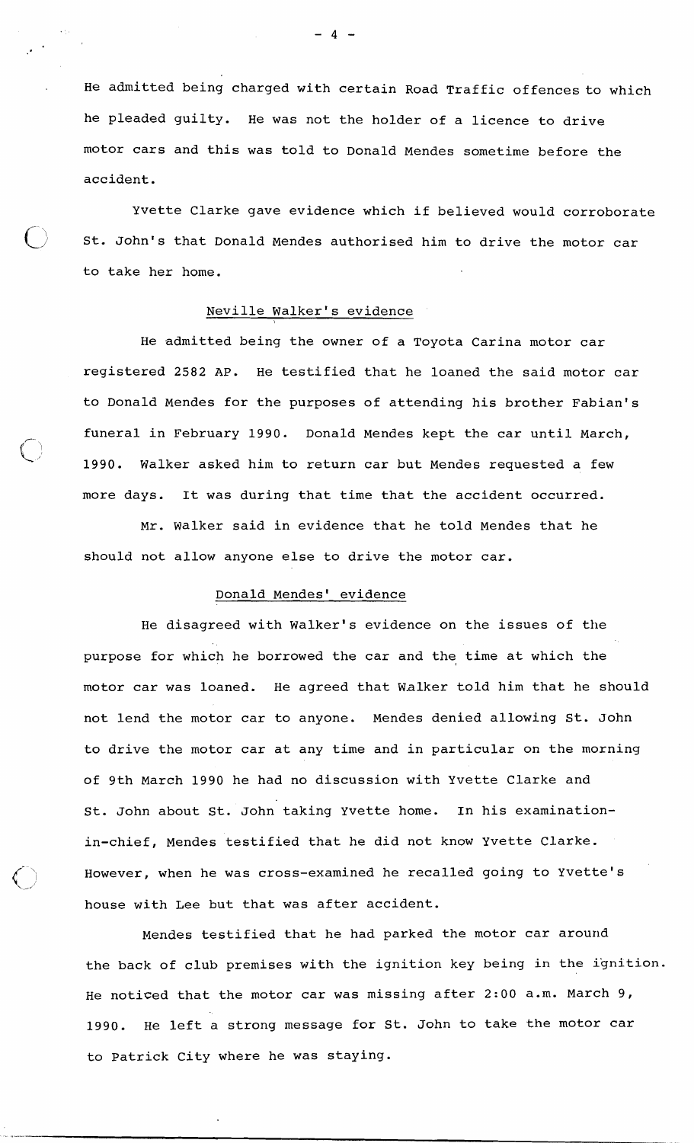He admitted being charged with certain Road Traffic offences to which he pleaded guilty. He was not the holder of a licence to drive motor cars and this was told to Donald Mendes sometime before the accident.

Yvette Clarke gave evidence which if believed would corroborate St. John's that Donald Mendes authorised him to drive the motor car to take her home.

# Neville Walker's evidence

He admitted being the owner of a Toyota Carina motor car registered 2582 AP. He testified that he loaned the said motor car to Donald Mendes for the purposes of attending his brother Fabian's funeral in February 1990. Donald Mendes kept the car until March, 1990. Walker asked him to return car but Mendes requested a few more days. It was during that time that the accident occurred.

Mr. Walker said in evidence that he told Mendes that he should not allow anyone else to drive the motor car.

#### Donald Mendes' evidence

He disagreed with Walker's evidence on the issues of the purpose for which he borrowed the car and the time at which the motor car was loaned. He agreed that Walker told him that he should not lend the motor car to anyone. Mendes denied allowing St. John to drive the motor car at any time and in particular on the morning of 9th March 1990 he had no discussion with Yvette Clarke and St. John about St. John taking Yvette home. In his examinationin-chief, Mendes testified that he did not know Yvette Clarke. However, when he was cross-examined he recalled going to Yvette's house with Lee but that was after accident.

Mendes testified that he had parked the motor car around the back of club premises with the ignition key being in the ignition. He noticed that the motor car was missing after 2:00 a.m. March 9, 1990. He left a strong message for St. John to take the motor car to Patrick City where he was staying.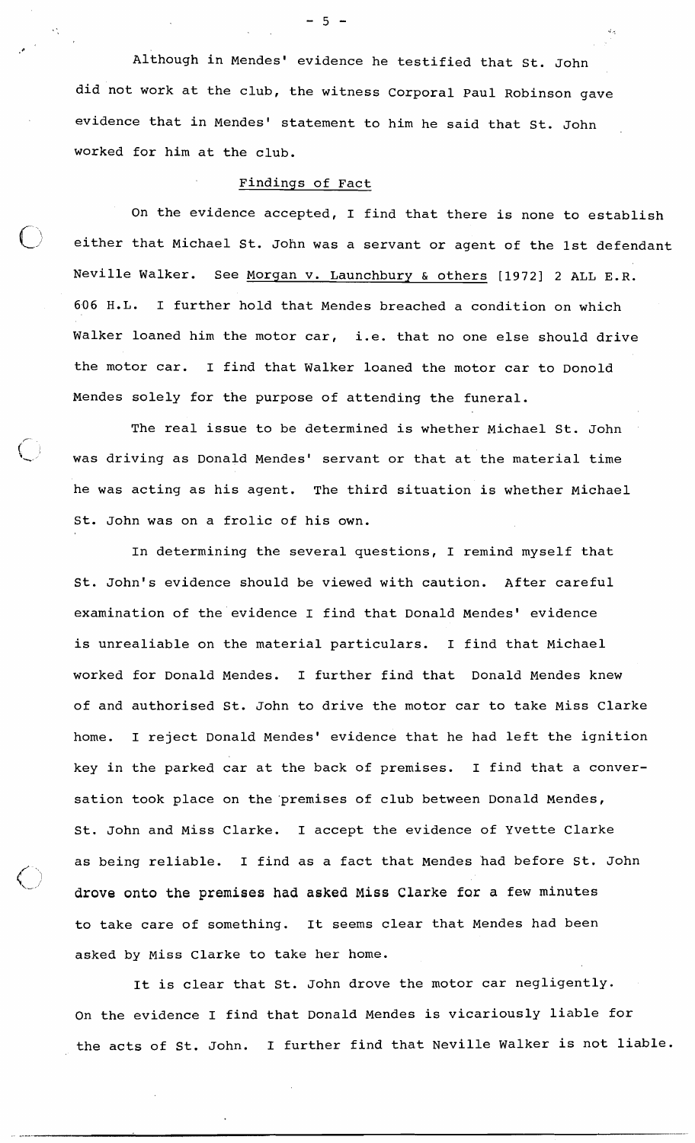Although in Mendes' evidence he testified that St. John did not work at the club, the witness Corporal Paul Robinson gave evidence that in Mendes' statement to him he said that St. John worked for him at the club.

# Findings of Fact

On the evidence accepted, I find that there is none to establish either that Michael St. John was a servant or agent of the 1st defendant Neville Walker. See Morgan v. Launchbury & others [1972] 2 ALL E.R. 606 H.L. I further hold that Mendes breached a condition on which Walker loaned him the motor car, i.e. that no one else should drive the motor car. I find that Walker loaned the motor car to Donold Mendes solely for the purpose of attending the funeral.

The real issue to be determined is whether Michael St. John **<sup>I</sup>** was driving as Donald Mendes' servant or that at the material time he was acting as his agent. The third situation is whether Michael St. John was on a frolic of his own.

In determining the several questions, I remind myself that St. John's evidence should be viewed with caution. After careful examination of the evidence I find that Donald Mendes' evidence is unrealiable on the material particulars. I find that Michael worked for Donald Mendes. I further find that Donald Mendes knew of and authorised St. John to drive the motor car to take Miss Clarke home. I reject Donald Mendes' evidence that he had left the ignition key in the parked car at the back of premises. I find that a conversation took place on the'premises of club between Donald Mendes, St. John and Miss Clarke. I accept the evidence of Yvette Clarke as being reliable. I find as a fact that Mendes had before St. John drove onto the premises had asked Miss Clarke for a few minutes to take care of something. It seems clear that Mendes had been asked by Miss Clarke to take her home.

 $\left( \frac{1}{2} \right)$ 

It is clear that St. John drove the motor car negligently. On the evidence I find that Donald Mendes is vicariously liable for the acts of St. John. I further find that Neville Walker is not liable.

 $-5 -$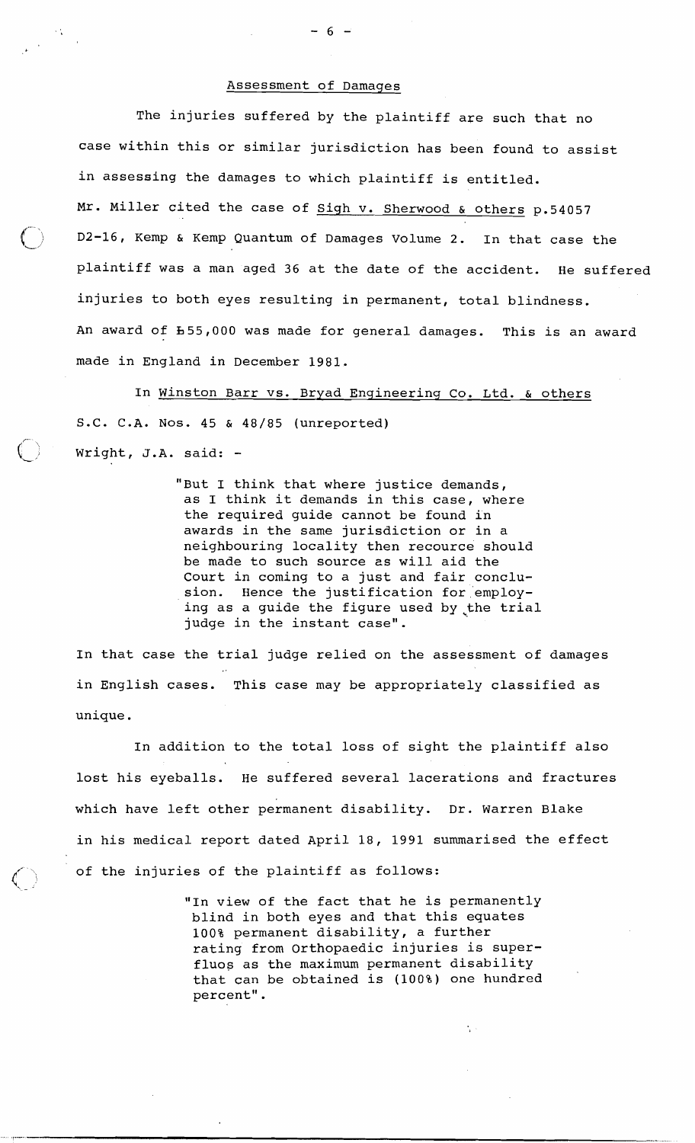# Assessment of Damages

The injuries suffered by the plaintiff are such that no case within this or similar jurisdiction has been found to assist in assessing the damages to which plaintiff is entitled. Mr. Miller cited the case of sigh v. Sherwood & others p.54057 D2-16, Kemp & Kemp Quantum of Damages Volume 2. In that case the plaintiff was a man aged 36 at the date of the accident. He suffered injuries to both eyes resulting in permanent, total blindness. An award of b55,000 was made for general damages. This is an award made in England in December 1981.

In winston Barr vs. Bryad Engineering Co. Ltd. & others S.C. C.A. Nos. 45 & 48/85 (unreported) : Wright, J.A. said: -

 $\mathcal{L}^{\text{max}}$ 

"But I think that where justice demands, as I think it demands in this case, where the required guide cannot be found in awards in the same jurisdiction or in a neighbouring locality then recource should be made to such source es will aid the Court in coming to a just and fair conclusion. Hence the justification for employing as a guide the figure used by the trial judge in the instant case".

In that case the trial judge relied on the assessment of damages in English cases. This case may be appropriately classified as unique.

In addition to the total loss of sight the plaintiff also lost his eyeballs. He suffered several lacerations and fractures which have left other permanent disability. Dr. Warren Blake in his medical report dated April 18, 1991 summarised the effect of the injuries of the plaintiff as follows:

> "In view of the fact that he is permanently blind in both eyes and that this equates 100% permanent disability, a further rating from Orthopaedic injuries is superfluos as the maximum permanent disability that can be obtained is (1008) one hundred percent".

 $-6 -$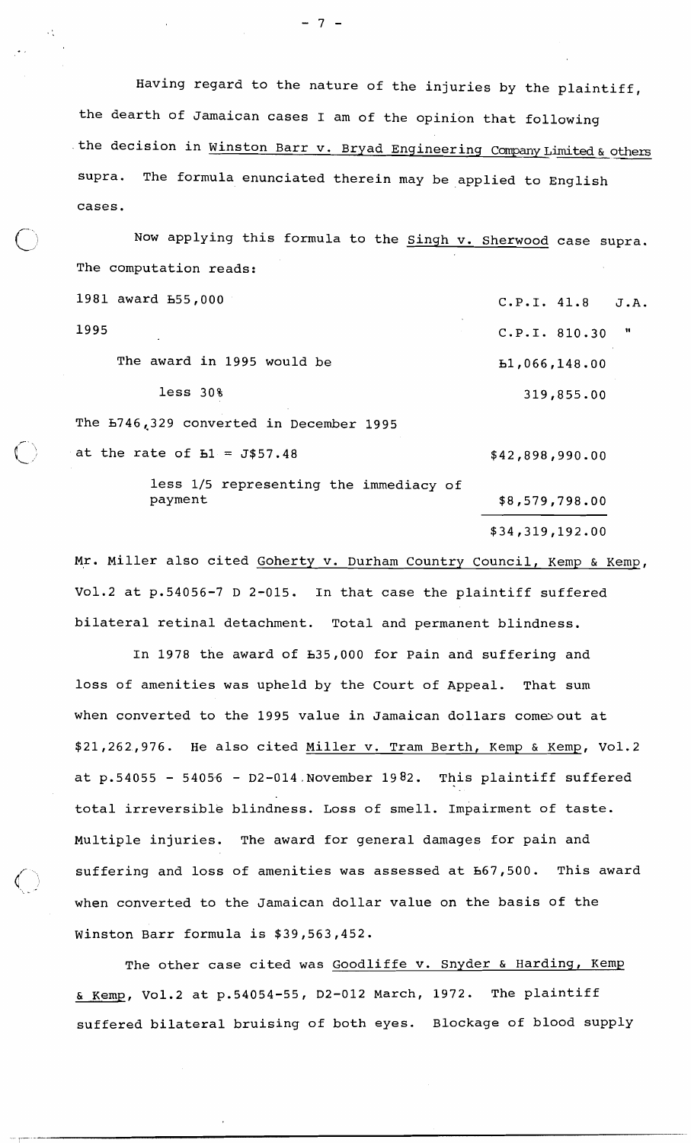Having regard to the nature of the injuries by the plaintiff, the dearth of Jamaican cases I am of the opinion that following the decision in <u>Winston Barr v. Bryad Engineering Company Limited & others</u> supra. The formula enunciated therein may be applied to English cases.

Now applying this formula to the singh v. Sherwood case supra. The computation reads: 1981 award b55,OOO C.P.I. 41.8 J.A.

1995 C.P.I. 810.30 " The award in 1995 would be  $\qquad 51,066,148.00$ less 30% 319,855.00 The b746,329 converted in December 1995

at the rate of  $E_1 = J$57.48$ 

**,r'-**   $\bigcup$ 

 $\setminus$  .

 $\cdot$ 

\$42,898,990.00

less 1/5 representing the immediacy of payment \$8,579,798.00

\$34,319,192.00

Mr. Miller also cited Goherty v. Durham Country Council, Kemp & Kemp, Vo1.2 at p.54056-7 D 2-015. In that case the plaintiff suffered bilateral retinal detachment. Total and permanent blindness.

In 1978 the award of b35,OOO for Pain and suffering and loss of amenities was upheld by the Court of Appeal. That sum when converted to the 1995 value in Jamaican dollars comes out at \$21,262,976. He also cited Miller v. Tram Berth, Kemp & Kemp, Vo1.2 at  $p.54055 - 54056 - D2-014$ . November 1982. This plaintiff suffered total irreversible blindness. Loss of smell. Impairment of taste. Multiple injuries. The award for general damages for pain and suffering and loss of amenities was assessed at h67,500. This award when converted to the Jamaican dollar value on the basis of the Winston Barr formula is \$39,563,452.

The other case cited was Goodliffe v. Snyder & Harding, Kemp & Kemp, Vo1.2 at p.54054-55, D2-012 March, 1972. The plaintiff suffered bilateral bruising of both eyes. Blockage of blood supply

 $7 -$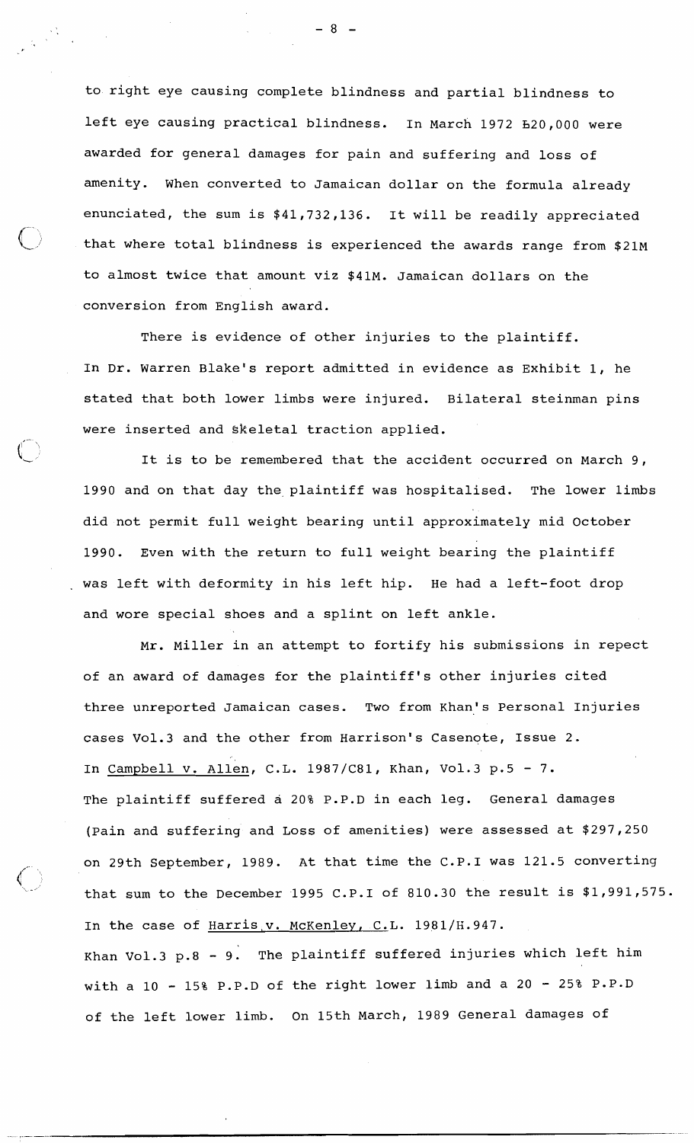to right eye causing complete blindness and partial blindness to left eye causing practical blindness. In March 1972 **b20,000** were awarded for general damages for pain and suffering and loss of amenity. When converted to Jamaican dollar on the formula already enunciated, the sum is \$41,732,136. It will be readily appreciated that where total blindness is experienced the awards range from \$21M to almost twice that amount viz \$41M. Jamaican dollars on the conversion from English award.

There is evidence of other injuries to the plaintiff. In Dr. Warren Blake's report admitted in evidence as Exhibit 1, he stated that both lower limbs were injured. Bilateral steinman pins were inserted and skeletal traction applied.

It is to be remembered that the accident occurred on March 9, 1990 and on that day the,plaintiff was hospitalised. The lower limbs did not permit full weight bearing until approximately mid October 1990. Even with the return to full weight bearing the plaintiff was left with deformity in his left hip. He had a left-foot drop and wore special shoes and a splint on left ankle.

Mr. Miller in an attempt to fortify his submissions in repect of an award of damages for the plaintiff's other injuries cited three unreported Jamaican cases. Two from Khan's Personal Injuries cases Vo1.3 and the other from Harrison's Casenote, Issue 2. In Campbell v. Allen, C.L. 1987/C81, Khan, Vo1.3 p.5 - 7. The plaintiff suffered a 20% P.P.D in each leg. General damages (pain and suffering and Loss of amenities) were assessed at \$297,250 on 29th September, 1989. At that time the C.P.1 was 121.5 converting that sum to the December 1995 C.P.I of 810.30 the result is \$1,991,575. In the case of Harris,  $v.$  McKenley, C.L. 1981/H.947. Khan Vo1.3 p.8 - 9. The plaintiff suffered injuries which left him with a 10 - 15% P.P.D of the right lower limb and a 20 - 25% P.P.D of the left lower limb. On 15th March, 1989 General damages of

- 8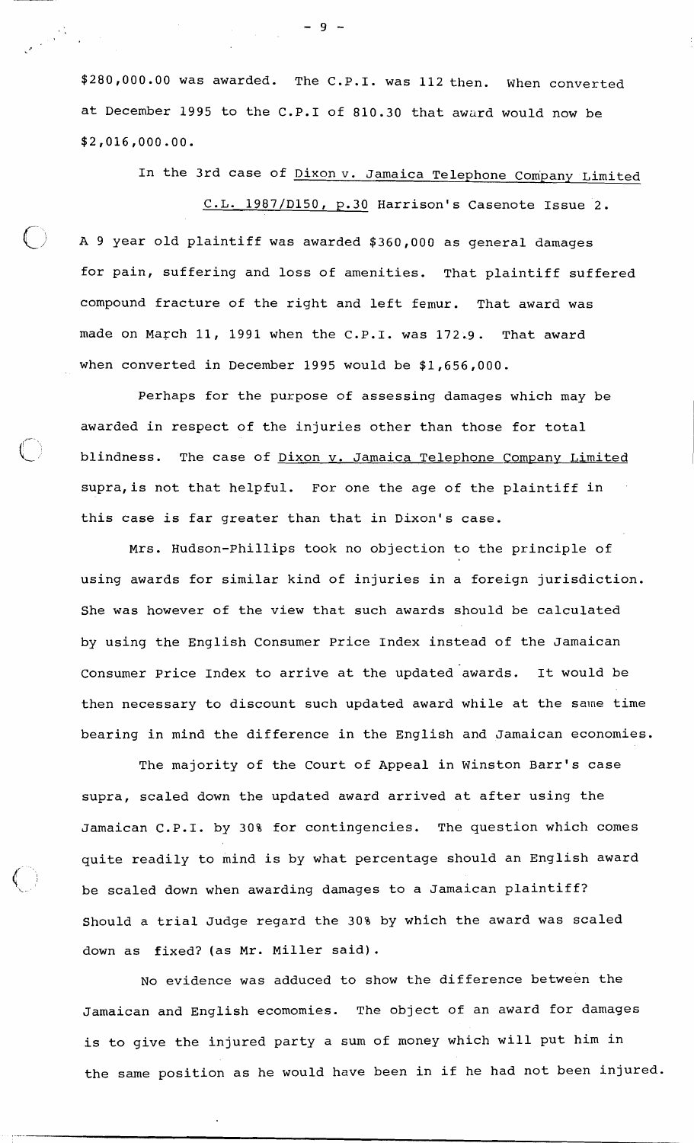\$280,000.00 was awarded. The C.P.I. was 112 then. When converted at December 1995 to the C.P.1 of 810.30 that award would now be \$2,016,000.00.

In the 3rd case of Dixonv. Jamaica Telephone Company Limited C.L. 1987/D150, p.30 Harrison's Casenote Issue 2. **A** 9 year old plaintiff was awarded \$360,000 as general damages

for pain, suffering and loss of amenities. That plaintiff suffered compound fracture of the right and left femur. That award was made on March 11, 1991 when the C.P.I. was 172.9. That award when converted in December 1995 would be \$1,656,000.

Perhaps for the purpose of assessing damages which may be awarded in respect of the injuries other than those for total blindness. The case of Dixon v. Jamaica Telephone Company Limited supra,is not that helpful. For one the age of the plaintiff in this case is far greater than that in Dixon's case.

,-

Mrs. Hudson-Phillips took no objection to the principle of using awards for similar kind of injuries in a foreign jurisdiction. She was however of the view that such awards should be calculated by using the English Consumer Price Index instead of the Jamaican Consumer Price Index to arrive at the updated awards. It would be then necessary to discount such updated award while at the same time bearing in mind the difference in the English and Jamaican economies.

The majority of the Court of Appeal in Winston Barr's case supra, scaled down the updated award arrived at after using the Jamaican C.P.I. by 30% for contingencies. The question which comes quite readily to mind is by what percentage should an English award be scaled down when awarding damages to a Jamaican plaintiff? Should a trial Judge regard the 30% by which the award was scaled down as fixed? (as Mr. Miller said).

No evidence was adduced to show the difference between the Jamaican and English ecomomies. The object of an award for damages is to give the injured party a sum of money which will put him in the same position as he would have been in if he had not been injured.

 $-9 -$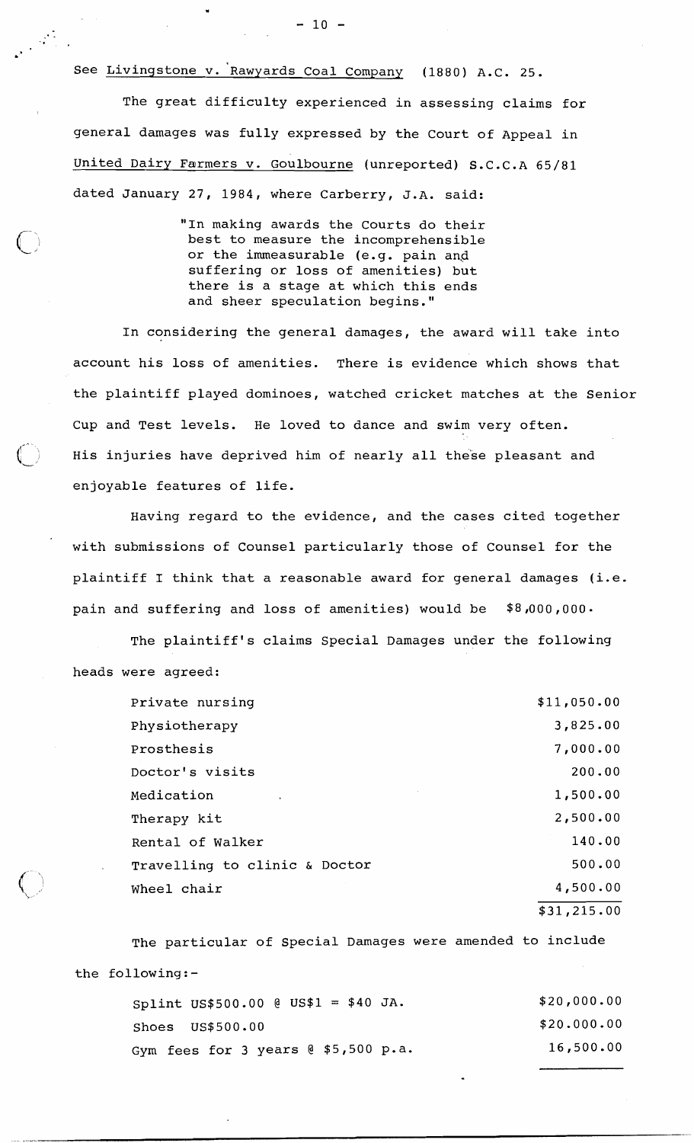\. - .

The great difficulty experienced in assessing claims for general damages was fully expressed by the Court of Appeal in United Dairy Farmers v. Goulbourne (unreported) S.C.C.A 65/81 dated January 27, 1984, where Carberry, J.A. said:

> "In making awards the Courts do their best to measure the incomprehensible or the immeasurable (e.g. pain and suffering or loss of amenities) but there is a stage at which this ends and sheer speculation begins."

In considering the general damages, the award will take into account his loss of amenities. There is evidence which shows that the plaintiff played dominoes, watched cricket matches at the Senior Cup and Test levels. He loved to dance and swim very often. His injuries have deprived him of nearly all these pleasant and enjoyable features of life.

Having regard to the evidence, and the cases cited together with submissions of Counsel particularly those of Counsel for the plaintiff I think that a reasonable award for general damages (i.e. pain and suffering and loss of amenities) would be  $$8,000,000$ .

The plaintiff's claims Special Damages under the following heads were agreed:

| Private nursing               | \$11,050.00 |
|-------------------------------|-------------|
| Physiotherapy                 | 3,825.00    |
| Prosthesis                    | 7,000.00    |
| Doctor's visits               | 200.00      |
| Medication                    | 1,500.00    |
| Therapy kit                   | 2,500.00    |
| Rental of Walker              | 140.00      |
| Travelling to clinic & Doctor | 500.00      |
| Wheel chair                   | 4,500.00    |
|                               | \$31,215.00 |

The particular of Special Damages were amended to include the following:-

| Splint US\$500.00 @ US\$1 = \$40 JA.   | \$20,000.00 |
|----------------------------------------|-------------|
| $Shoes$ $US$500.00$                    | \$20.000.00 |
| Gym fees for 3 years $@  $5,500  p.a.$ | 16,500.00   |

 $-10 -$